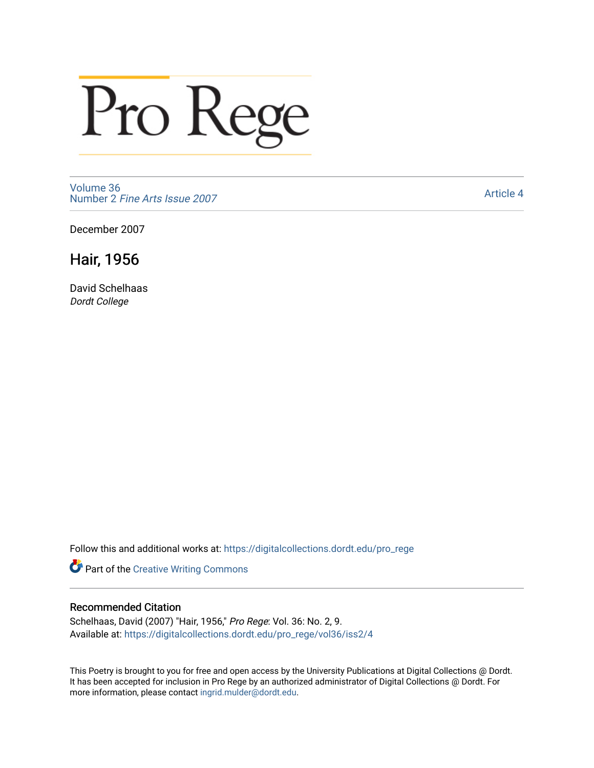## Pro Rege

[Volume 36](https://digitalcollections.dordt.edu/pro_rege/vol36) Number 2 [Fine Arts Issue 2007](https://digitalcollections.dordt.edu/pro_rege/vol36/iss2) 

[Article 4](https://digitalcollections.dordt.edu/pro_rege/vol36/iss2/4) 

December 2007

## Hair, 1956

David Schelhaas Dordt College

Follow this and additional works at: [https://digitalcollections.dordt.edu/pro\\_rege](https://digitalcollections.dordt.edu/pro_rege?utm_source=digitalcollections.dordt.edu%2Fpro_rege%2Fvol36%2Fiss2%2F4&utm_medium=PDF&utm_campaign=PDFCoverPages) 

Part of the [Creative Writing Commons](http://network.bepress.com/hgg/discipline/574?utm_source=digitalcollections.dordt.edu%2Fpro_rege%2Fvol36%2Fiss2%2F4&utm_medium=PDF&utm_campaign=PDFCoverPages) 

## Recommended Citation

Schelhaas, David (2007) "Hair, 1956," Pro Rege: Vol. 36: No. 2, 9. Available at: [https://digitalcollections.dordt.edu/pro\\_rege/vol36/iss2/4](https://digitalcollections.dordt.edu/pro_rege/vol36/iss2/4?utm_source=digitalcollections.dordt.edu%2Fpro_rege%2Fvol36%2Fiss2%2F4&utm_medium=PDF&utm_campaign=PDFCoverPages) 

This Poetry is brought to you for free and open access by the University Publications at Digital Collections @ Dordt. It has been accepted for inclusion in Pro Rege by an authorized administrator of Digital Collections @ Dordt. For more information, please contact [ingrid.mulder@dordt.edu.](mailto:ingrid.mulder@dordt.edu)